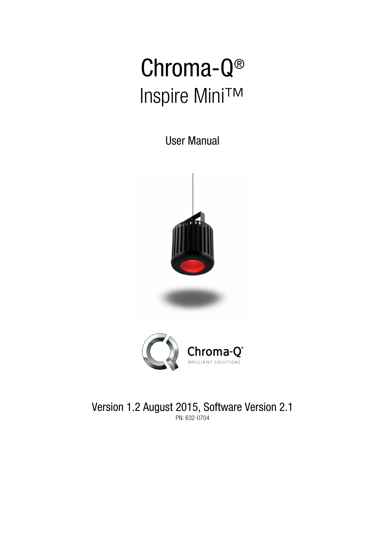# Chroma-Q® Inspire Mini™

User Manual





Version 1.2 August 2015, Software Version 2.1 PN: 632-0704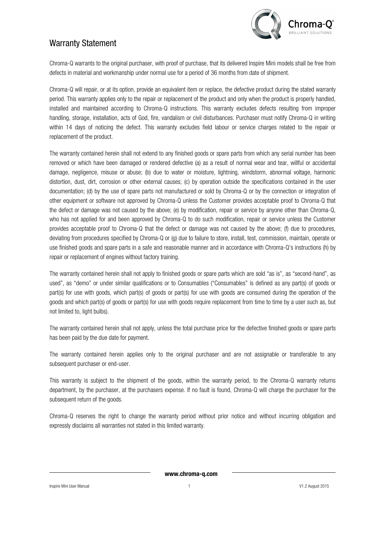

# Warranty Statement

Chroma-Q warrants to the original purchaser, with proof of purchase, that its delivered Inspire Mini models shall be free from defects in material and workmanship under normal use for a period of 36 months from date of shipment.

Chroma-Q will repair, or at its option, provide an equivalent item or replace, the defective product during the stated warranty period. This warranty applies only to the repair or replacement of the product and only when the product is properly handled, installed and maintained according to Chroma-Q instructions. This warranty excludes defects resulting from improper handling, storage, installation, acts of God, fire, vandalism or civil disturbances. Purchaser must notify Chroma-Q in writing within 14 days of noticing the defect. This warranty excludes field labour or service charges related to the repair or replacement of the product.

The warranty contained herein shall not extend to any finished goods or spare parts from which any serial number has been removed or which have been damaged or rendered defective (a) as a result of normal wear and tear, willful or accidental damage, negligence, misuse or abuse; (b) due to water or moisture, lightning, windstorm, abnormal voltage, harmonic distortion, dust, dirt, corrosion or other external causes; (c) by operation outside the specifications contained in the user documentation; (d) by the use of spare parts not manufactured or sold by Chroma-Q or by the connection or integration of other equipment or software not approved by Chroma-Q unless the Customer provides acceptable proof to Chroma-Q that the defect or damage was not caused by the above; (e) by modification, repair or service by anyone other than Chroma-Q, who has not applied for and been approved by Chroma-Q to do such modification, repair or service unless the Customer provides acceptable proof to Chroma-Q that the defect or damage was not caused by the above; (f) due to procedures, deviating from procedures specified by Chroma-Q or (g) due to failure to store, install, test, commission, maintain, operate or use finished goods and spare parts in a safe and reasonable manner and in accordance with Chroma-Q's instructions (h) by repair or replacement of engines without factory training.

The warranty contained herein shall not apply to finished goods or spare parts which are sold "as is", as "second-hand", as used", as "demo" or under similar qualifications or to Consumables ("Consumables" is defined as any part(s) of goods or part(s) for use with goods, which part(s) of goods or part(s) for use with goods are consumed during the operation of the goods and which part(s) of goods or part(s) for use with goods require replacement from time to time by a user such as, but not limited to, light bulbs).

The warranty contained herein shall not apply, unless the total purchase price for the defective finished goods or spare parts has been paid by the due date for payment.

The warranty contained herein applies only to the original purchaser and are not assignable or transferable to any subsequent purchaser or end-user.

This warranty is subject to the shipment of the goods, within the warranty period, to the Chroma-Q warranty returns department, by the purchaser, at the purchasers expense. If no fault is found, Chroma-Q will charge the purchaser for the subsequent return of the goods.

Chroma-Q reserves the right to change the warranty period without prior notice and without incurring obligation and expressly disclaims all warranties not stated in this limited warranty.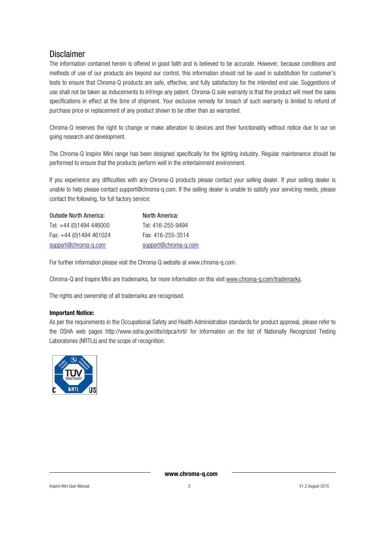### Disclaimer

The information contained herein is offered in good faith and is believed to be accurate. However, because conditions and methods of use of our products are beyond our control, this information should not be used in substitution for customer's tests to ensure that Chroma-Q products are safe, effective, and fully satisfactory for the intended end use. Suggestions of use shall not be taken as inducements to infringe any patent. Chroma-Q sole warranty is that the product will meet the sales specifications in effect at the time of shipment. Your exclusive remedy for breach of such warranty is limited to refund of purchase price or replacement of any product shown to be other than as warranted.

Chroma-Q reserves the right to change or make alteration to devices and their functionality without notice due to our on going research and development.

The Chroma-Q Inspire Mini range has been designed specifically for the lighting industry. Regular maintenance should be performed to ensure that the products perform well in the entertainment environment.

If you experience any difficulties with any Chroma-Q products please contact your selling dealer. If your selling dealer is unable to help please contact support@chroma-q.com. If the selling dealer is unable to satisfy your servicing needs, please contact the following, for full factory service:

| Outside North America:  | North America:       |
|-------------------------|----------------------|
| Tel: +44 (0)1494 446000 | Tel: 416-255-9494    |
| Fax: +44 (0)1494 461024 | Fax: 416-255-3514    |
| support@chroma-q.com    | support@chroma-g.com |

For further information please visit the Chroma-Q website at www.chroma-q.com.

Chroma-Q and Inspire Mini are trademarks, for more information on this visit www.chroma-q.com/trademarks.

The rights and ownership of all trademarks are recognised.

#### Important Notice:

As per the requirements in the Occupational Safety and Health Administration standards for product approval, please refer to the OSHA web pages http://www.osha.gov/dts/otpca/nrtl/ for information on the list of Nationally Recognized Testing Laboratories (NRTLs) and the scope of recognition.

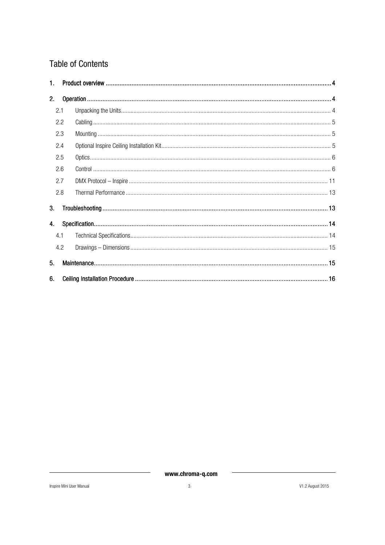# **Table of Contents**

| 2. |     |  |  |  |  |  |
|----|-----|--|--|--|--|--|
|    | 2.1 |  |  |  |  |  |
|    | 2.2 |  |  |  |  |  |
|    | 2.3 |  |  |  |  |  |
|    | 2.4 |  |  |  |  |  |
|    | 2.5 |  |  |  |  |  |
|    | 2.6 |  |  |  |  |  |
|    | 2.7 |  |  |  |  |  |
|    | 2.8 |  |  |  |  |  |
| 3. |     |  |  |  |  |  |
| 4. |     |  |  |  |  |  |
|    | 4.1 |  |  |  |  |  |
|    | 4.2 |  |  |  |  |  |
| 5. |     |  |  |  |  |  |
| 6. |     |  |  |  |  |  |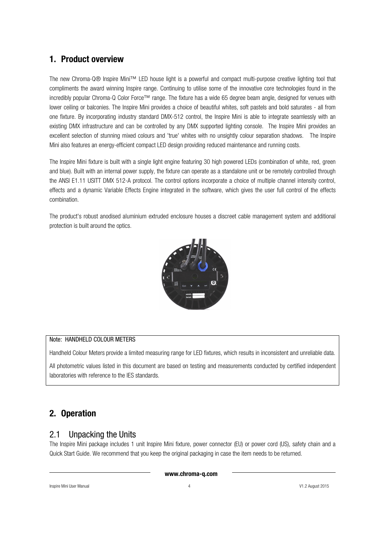# 1. Product overview

The new Chroma-Q® Inspire Mini™ LED house light is a powerful and compact multi-purpose creative lighting tool that compliments the award winning Inspire range. Continuing to utilise some of the innovative core technologies found in the incredibly popular Chroma-Q Color Force™ range. The fixture has a wide 65 degree beam angle, designed for venues with lower ceiling or balconies. The Inspire Mini provides a choice of beautiful whites, soft pastels and bold saturates - all from one fixture. By incorporating industry standard DMX-512 control, the Inspire Mini is able to integrate seamlessly with an existing DMX infrastructure and can be controlled by any DMX supported lighting console. The Inspire Mini provides an excellent selection of stunning mixed colours and 'true' whites with no unsightly colour separation shadows. The Inspire Mini also features an energy-efficient compact LED design providing reduced maintenance and running costs.

The Inspire Mini fixture is built with a single light engine featuring 30 high powered LEDs (combination of white, red, green and blue). Built with an internal power supply, the fixture can operate as a standalone unit or be remotely controlled through the ANSI E1.11 USITT DMX 512-A protocol. The control options incorporate a choice of multiple channel intensity control, effects and a dynamic Variable Effects Engine integrated in the software, which gives the user full control of the effects combination.

The product's robust anodised aluminium extruded enclosure houses a discreet cable management system and additional protection is built around the optics.



#### Note: HANDHELD COLOUR METERS

Handheld Colour Meters provide a limited measuring range for LED fixtures, which results in inconsistent and unreliable data.

All photometric values listed in this document are based on testing and measurements conducted by certified independent laboratories with reference to the IES standards.

# 2. Operation

### 2.1 Unpacking the Units

The Inspire Mini package includes 1 unit Inspire Mini fixture, power connector (EU) or power cord (US), safety chain and a Quick Start Guide. We recommend that you keep the original packaging in case the item needs to be returned.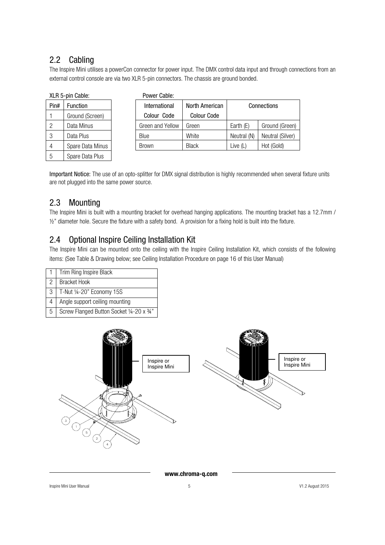# 2.2 Cabling

The Inspire Mini utilises a powerCon connector for power input. The DMX control data input and through connections from an external control console are via two XLR 5-pin connectors. The chassis are ground bonded.

|  |  | XLR 5-pin Cable: |  |
|--|--|------------------|--|
|  |  |                  |  |

| Pin#           | Function         |  |
|----------------|------------------|--|
|                | Ground (Screen)  |  |
| $\overline{2}$ | Data Minus       |  |
| 3              | Data Plus        |  |
| 4              | Spare Data Minus |  |
| 5              | Spare Data Plus  |  |

Power Cable:

| International    | North American     | Connections |                  |  |  |
|------------------|--------------------|-------------|------------------|--|--|
| Colour Code      | <b>Colour Code</b> |             |                  |  |  |
| Green and Yellow | Green              | Earth $(E)$ | Ground (Green)   |  |  |
| Blue             | White              | Neutral (N) | Neutral (Silver) |  |  |
| <b>Brown</b>     | <b>Black</b>       | Live (L)    | Hot (Gold)       |  |  |

Important Notice: The use of an opto-splitter for DMX signal distribution is highly recommended when several fixture units are not plugged into the same power source.

### 2.3 Mounting

The Inspire Mini is built with a mounting bracket for overhead hanging applications. The mounting bracket has a 12.7mm / ½" diameter hole. Secure the fixture with a safety bond. A provision for a fixing hold is built into the fixture.

# 2.4 Optional Inspire Ceiling Installation Kit

The Inspire Mini can be mounted onto the ceiling with the Inspire Ceiling Installation Kit, which consists of the following items: (See Table & Drawing below; see Ceiling Installation Procedure on page 16 of this User Manual)

|                 | Trim Ring Inspire Black                   |
|-----------------|-------------------------------------------|
| $\sqrt{2}$      | <b>Bracket Hook</b>                       |
| $\overline{3}$  | T-Nut 1/4-20" Economy 15S                 |
| 4               | Angle support ceiling mounting            |
| $5\overline{5}$ | Screw Flanged Button Socket 1/4-20 x 3/4" |

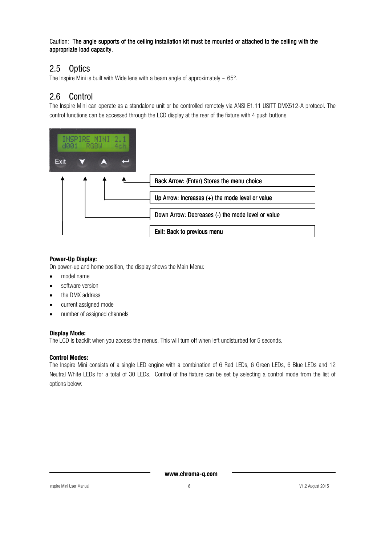Caution: The angle supports of the ceiling installation kit must be mounted or attached to the ceiling with the appropriate load capacity.

### 2.5 Optics

The Inspire Mini is built with Wide lens with a beam angle of approximately  $\sim 65^{\circ}$ .

# 2.6 Control

The Inspire Mini can operate as a standalone unit or be controlled remotely via ANSI E1.11 USITT DMX512-A protocol. The control functions can be accessed through the LCD display at the rear of the fixture with 4 push buttons.



#### Power-Up Display:

On power-up and home position, the display shows the Main Menu:

- model name
- software version
- the DMX address
- current assigned mode
- number of assigned channels

#### Display Mode:

The LCD is backlit when you access the menus. This will turn off when left undisturbed for 5 seconds.

#### Control Modes:

The Inspire Mini consists of a single LED engine with a combination of 6 Red LEDs, 6 Green LEDs, 6 Blue LEDs and 12 Neutral White LEDs for a total of 30 LEDs. Control of the fixture can be set by selecting a control mode from the list of options below: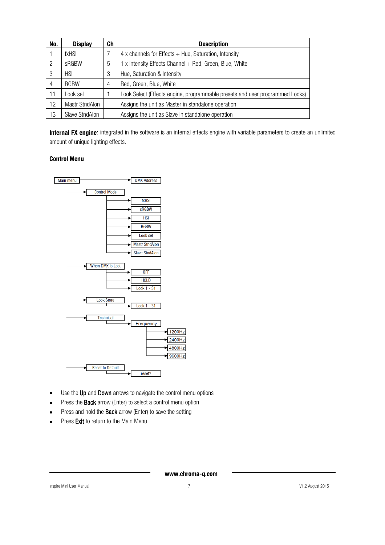| No. | <b>Display</b> | Ch | <b>Description</b>                                                           |
|-----|----------------|----|------------------------------------------------------------------------------|
|     | fxHSI          |    | $4x$ channels for Effects $+$ Hue, Saturation, Intensity                     |
| 2   | sRGBW          | 5  | 1 x Intensity Effects Channel + Red, Green, Blue, White                      |
| 3   | HSI            | 3  | Hue, Saturation & Intensity                                                  |
| 4   | RGBW           | 4  | Red, Green, Blue, White                                                      |
| 11  | Look sel       |    | Look Select (Effects engine, programmable presets and user programmed Looks) |
| 12  | Mastr StndAlon |    | Assigns the unit as Master in standalone operation                           |
| 13  | Slave StndAlon |    | Assigns the unit as Slave in standalone operation                            |

Internal FX engine: integrated in the software is an internal effects engine with variable parameters to create an unlimited amount of unique lighting effects.

#### Control Menu



- Use the Up and Down arrows to navigate the control menu options
- Press the **Back** arrow (Enter) to select a control menu option
- Press and hold the **Back** arrow (Enter) to save the setting
- Press Exit to return to the Main Menu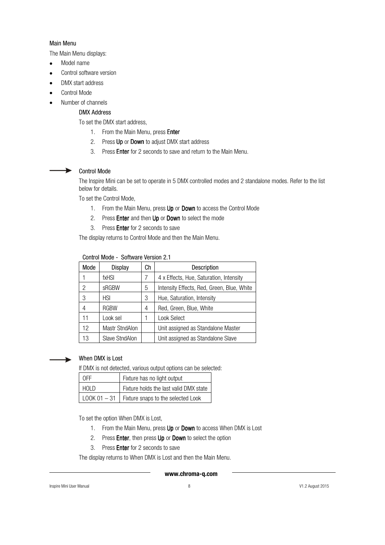#### Main Menu

The Main Menu displays:

- Model name
- Control software version
- DMX start address
- Control Mode
- Number of channels

#### DMX Address

To set the DMX start address,

- 1. From the Main Menu, press Enter
- 2. Press Up or Down to adjust DMX start address
- 3. Press Enter for 2 seconds to save and return to the Main Menu.

#### Control Mode

The Inspire Mini can be set to operate in 5 DMX controlled modes and 2 standalone modes. Refer to the list below for details.

To set the Control Mode,

- 1. From the Main Menu, press Up or Down to access the Control Mode
- 2. Press **Enter** and then Up or Down to select the mode
- 3. Press Enter for 2 seconds to save

The display returns to Control Mode and then the Main Menu.

| Mode           | <b>Display</b> | Сh | Description                                |
|----------------|----------------|----|--------------------------------------------|
|                | fxHSI          |    | 4 x Effects, Hue, Saturation, Intensity    |
| $\overline{2}$ | sRGBW          | 5  | Intensity Effects, Red, Green, Blue, White |
| 3              | HSI            | 3  | Hue, Saturation, Intensity                 |
| 4              | <b>RGBW</b>    | 4  | Red, Green, Blue, White                    |
| 11             | Look sel       |    | Look Select                                |
| 12             | Mastr StndAlon |    | Unit assigned as Standalone Master         |
| 13             | Slave StndAlon |    | Unit assigned as Standalone Slave          |

#### Control Mode - Software Version 2.1

#### When DMX is Lost  $\blacktriangleright$

If DMX is not detected, various output options can be selected:

| 0 <sub>FF</sub> | Fixture has no light output                               |
|-----------------|-----------------------------------------------------------|
| HOLD            | Fixture holds the last valid DMX state                    |
|                 | $\vert$ LOOK 01 - 31   Fixture snaps to the selected Look |

To set the option When DMX is Lost,

- 1. From the Main Menu, press Up or Down to access When DMX is Lost
- 2. Press Enter, then press Up or Down to select the option
- 3. Press Enter for 2 seconds to save

The display returns to When DMX is Lost and then the Main Menu.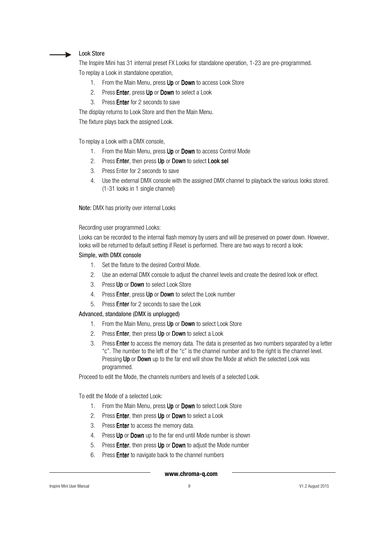#### Look Store

 $\rightarrow$ 

The Inspire Mini has 31 internal preset FX Looks for standalone operation, 1-23 are pre-programmed. To replay a Look in standalone operation,

- 1. From the Main Menu, press Up or Down to access Look Store
- 2. Press Enter, press Up or Down to select a Look
- 3. Press Enter for 2 seconds to save

The display returns to Look Store and then the Main Menu.

The fixture plays back the assigned Look.

To replay a Look with a DMX console,

- 1. From the Main Menu, press Up or Down to access Control Mode
- 2. Press Enter, then press Up or Down to select Look sel
- 3. Press Enter for 2 seconds to save
- 4. Use the external DMX console with the assigned DMX channel to playback the various looks stored. (1-31 looks in 1 single channel)

Note: DMX has priority over internal Looks

Recording user programmed Looks:

Looks can be recorded to the internal flash memory by users and will be preserved on power down. However, looks will be returned to default setting if Reset is performed. There are two ways to record a look:

#### Simple, with DMX console

- 1. Set the fixture to the desired Control Mode.
- 2. Use an external DMX console to adjust the channel levels and create the desired look or effect.
- 3. Press Up or Down to select Look Store
- 4. Press **Enter**, press Up or Down to select the Look number
- 5. Press Enter for 2 seconds to save the Look

#### Advanced, standalone (DMX is unplugged)

- 1. From the Main Menu, press Up or Down to select Look Store
- 2. Press **Enter**, then press **Up** or **Down** to select a Look
- 3. Press **Enter** to access the memory data. The data is presented as two numbers separated by a letter "c". The number to the left of the "c" is the channel number and to the right is the channel level. Pressing Up or Down up to the far end will show the Mode at which the selected Look was programmed.

Proceed to edit the Mode, the channels numbers and levels of a selected Look.

To edit the Mode of a selected Look:

- 1. From the Main Menu, press Up or Down to select Look Store
- 2. Press **Enter**, then press Up or Down to select a Look
- 3. Press **Enter** to access the memory data.
- 4. Press Up or Down up to the far end until Mode number is shown
- 5. Press Enter, then press Up or Down to adjust the Mode number
- 6. Press Enter to navigate back to the channel numbers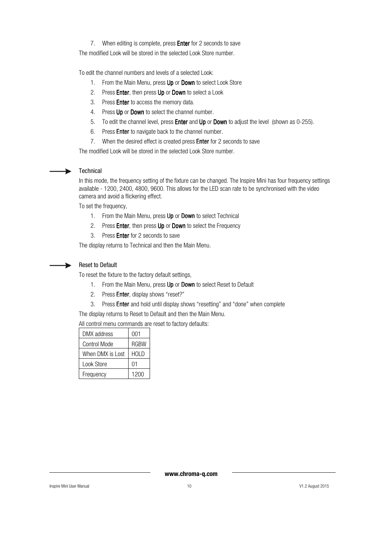7. When editing is complete, press Enter for 2 seconds to save

The modified Look will be stored in the selected Look Store number.

To edit the channel numbers and levels of a selected Look:

- 1. From the Main Menu, press Up or Down to select Look Store
- 2. Press **Enter**, then press Up or Down to select a Look
- 3. Press Enter to access the memory data.
- 4. Press Up or Down to select the channel number.
- 5. To edit the channel level, press Enter and Up or Down to adjust the level (shown as 0-255).
- 6. Press Enter to navigate back to the channel number.
- 7. When the desired effect is created press **Enter** for 2 seconds to save

The modified Look will be stored in the selected Look Store number.

#### **Technical**

In this mode, the frequency setting of the fixture can be changed. The Inspire Mini has four frequency settings available - 1200, 2400, 4800, 9600. This allows for the LED scan rate to be synchronised with the video camera and avoid a flickering effect.

To set the frequency,

- 1. From the Main Menu, press Up or Down to select Technical
- 2. Press Enter, then press Up or Down to select the Frequency
- 3. Press Enter for 2 seconds to save

The display returns to Technical and then the Main Menu.

Reset to Default

To reset the fixture to the factory default settings,

- 1. From the Main Menu, press Up or Down to select Reset to Default
- 2. Press **Enter**, display shows "reset?"
- 3. Press Enter and hold until display shows "resetting" and "done" when complete

The display returns to Reset to Default and then the Main Menu.

All control menu commands are reset to factory defaults:

| DMX address      | 001         |
|------------------|-------------|
| Control Mode     | <b>RGBW</b> |
| When DMX is Lost | <b>HOLD</b> |
| Look Store       | 01          |
| Frequency        | 1200        |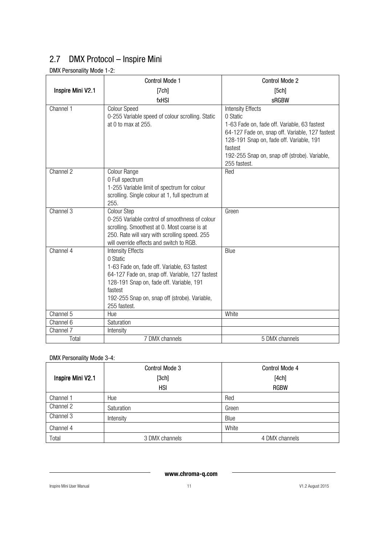# 2.7 DMX Protocol – Inspire Mini

DMX Personality Mode 1-2:

|                   | <b>Control Mode 1</b>                                                                                                                                                                                                                                           | <b>Control Mode 2</b>                                                                                                                                                                                                                                           |  |
|-------------------|-----------------------------------------------------------------------------------------------------------------------------------------------------------------------------------------------------------------------------------------------------------------|-----------------------------------------------------------------------------------------------------------------------------------------------------------------------------------------------------------------------------------------------------------------|--|
| Inspire Mini V2.1 | [7ch]                                                                                                                                                                                                                                                           | [5ch]                                                                                                                                                                                                                                                           |  |
|                   | fxHSI                                                                                                                                                                                                                                                           | sRGBW                                                                                                                                                                                                                                                           |  |
| Channel 1         | <b>Colour Speed</b><br>0-255 Variable speed of colour scrolling. Static<br>at 0 to max at 255.                                                                                                                                                                  | <b>Intensity Effects</b><br>0 Static<br>1-63 Fade on, fade off. Variable, 63 fastest<br>64-127 Fade on, snap off. Variable, 127 fastest<br>128-191 Snap on, fade off. Variable, 191<br>fastest<br>192-255 Snap on, snap off (strobe). Variable,<br>255 fastest. |  |
| Channel 2         | Colour Range<br>0 Full spectrum<br>1-255 Variable limit of spectrum for colour<br>scrolling. Single colour at 1, full spectrum at<br>255.                                                                                                                       | Red                                                                                                                                                                                                                                                             |  |
| Channel 3         | Colour Step<br>0-255 Variable control of smoothness of colour<br>scrolling. Smoothest at 0. Most coarse is at<br>250. Rate will vary with scrolling speed. 255<br>will override effects and switch to RGB.                                                      | Green                                                                                                                                                                                                                                                           |  |
| Channel 4         | <b>Intensity Effects</b><br>0 Static<br>1-63 Fade on, fade off. Variable, 63 fastest<br>64-127 Fade on, snap off. Variable, 127 fastest<br>128-191 Snap on, fade off. Variable, 191<br>fastest<br>192-255 Snap on, snap off (strobe). Variable,<br>255 fastest. | Blue                                                                                                                                                                                                                                                            |  |
| Channel 5         | Hue                                                                                                                                                                                                                                                             | White                                                                                                                                                                                                                                                           |  |
| Channel 6         | Saturation                                                                                                                                                                                                                                                      |                                                                                                                                                                                                                                                                 |  |
| Channel 7         | Intensity                                                                                                                                                                                                                                                       |                                                                                                                                                                                                                                                                 |  |
| Total             | 7 DMX channels                                                                                                                                                                                                                                                  | 5 DMX channels                                                                                                                                                                                                                                                  |  |

#### DMX Personality Mode 3-4:

|                   | Control Mode 3 | Control Mode 4 |
|-------------------|----------------|----------------|
| Inspire Mini V2.1 | [3ch]          | [4ch]          |
|                   | <b>HSI</b>     | RGBW           |
| Channel 1         | Hue            | Red            |
| Channel 2         | Saturation     | Green          |
| Channel 3         | Intensity      | Blue           |
| Channel 4         |                | White          |
| Total             | 3 DMX channels | 4 DMX channels |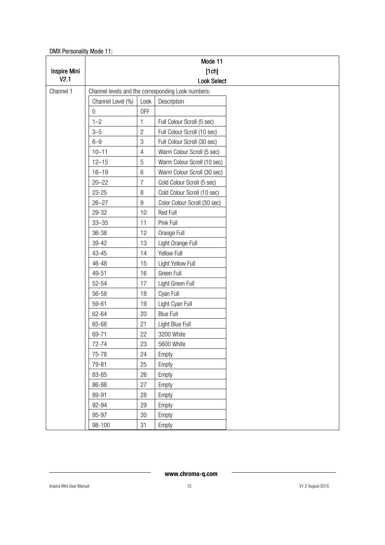DMX Personality Mode 11:

|                     | Mode 11                                            |                |                              |  |  |  |
|---------------------|----------------------------------------------------|----------------|------------------------------|--|--|--|
| <b>Inspire Mini</b> | [1ch]                                              |                |                              |  |  |  |
| V2.1                | <b>Look Select</b>                                 |                |                              |  |  |  |
| Channel 1           | Channel levels and the corresponding Look numbers: |                |                              |  |  |  |
|                     | Channel Level (%)                                  | Look           | Description                  |  |  |  |
|                     | $\mathbf 0$                                        | <b>OFF</b>     |                              |  |  |  |
|                     | $1 - 2$                                            | $\mathbf{1}$   | Full Colour Scroll (5 sec)   |  |  |  |
|                     | $3 - 5$                                            | $\overline{2}$ | Full Colour Scroll (10 sec)  |  |  |  |
|                     | $6 - 9$                                            | 3              | Full Colour Scroll (30 sec)  |  |  |  |
|                     | $10 - 11$                                          | $\overline{4}$ | Warm Colour Scroll (5 sec)   |  |  |  |
|                     | $12 - 15$                                          | 5              | Warm Colour Scroll (10 sec)  |  |  |  |
|                     | $16 - 19$                                          | $6\,$          | Warm Colour Scroll (30 sec)  |  |  |  |
|                     | $20 - 22$                                          | $\overline{7}$ | Cold Colour Scroll (5 sec)   |  |  |  |
|                     | $23 - 25$                                          | 8              | Cold Colour Scroll (10 sec)  |  |  |  |
|                     | $26 - 27$                                          | 9              | Color Colour Scroll (30 sec) |  |  |  |
|                     | 29-32                                              | 10             | <b>Red Full</b>              |  |  |  |
|                     | $33 - 35$                                          | 11             | Pink Full                    |  |  |  |
|                     | 36-38                                              | 12             | Orange Full                  |  |  |  |
|                     | 39-42                                              | 13             | Light Orange Full            |  |  |  |
|                     | 43-45                                              | 14             | Yellow Full                  |  |  |  |
|                     | 46-48                                              | 15             | Light Yellow Full            |  |  |  |
|                     | 49-51                                              | 16             | Green Full                   |  |  |  |
|                     | 52-54                                              | 17             | Light Green Full             |  |  |  |
|                     | 56-58                                              | 18             | Cyan Full                    |  |  |  |
|                     | 59-61                                              | 19             | Light Cyan Full              |  |  |  |
|                     | 62-64                                              | 20             | <b>Blue Full</b>             |  |  |  |
|                     | 65-68                                              | 21             | Light Blue Full              |  |  |  |
|                     | 69-71                                              | 22             | 3200 White                   |  |  |  |
|                     | 72-74                                              | 23             | 5600 White                   |  |  |  |
|                     | 75-78                                              | 24             | Empty                        |  |  |  |
|                     | 79-81                                              | 25             | Empty                        |  |  |  |
|                     | 83-85                                              | 26             | Empty                        |  |  |  |
|                     | 86-88                                              | 27             | Empty                        |  |  |  |
|                     | 89-91                                              | 28             | Empty                        |  |  |  |
|                     | 92-94                                              | 29             | Empty                        |  |  |  |
|                     | 95-97                                              | 30             | Empty                        |  |  |  |
|                     | 98-100                                             | 31             | Empty                        |  |  |  |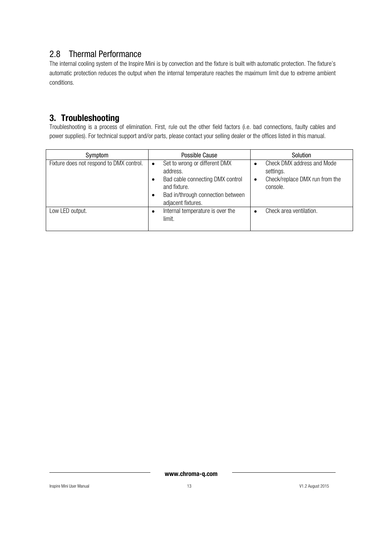# 2.8 Thermal Performance

The internal cooling system of the Inspire Mini is by convection and the fixture is built with automatic protection. The fixture's automatic protection reduces the output when the internal temperature reaches the maximum limit due to extreme ambient conditions.

# 3. Troubleshooting

Troubleshooting is a process of elimination. First, rule out the other field factors (i.e. bad connections, faulty cables and power supplies). For technical support and/or parts, please contact your selling dealer or the offices listed in this manual.

| Symptom                                  | Possible Cause                                                                                                                                                                                  | Solution                                                                                                        |
|------------------------------------------|-------------------------------------------------------------------------------------------------------------------------------------------------------------------------------------------------|-----------------------------------------------------------------------------------------------------------------|
| Fixture does not respond to DMX control. | Set to wrong or different DMX<br>$\bullet$<br>address.<br>Bad cable connecting DMX control<br>$\bullet$<br>and fixture.<br>Bad in/through connection between<br>$\bullet$<br>adjacent fixtures. | Check DMX address and Mode<br>$\bullet$<br>settings.<br>Check/replace DMX run from the<br>$\bullet$<br>console. |
| Low LED output.                          | Internal temperature is over the<br>limit.                                                                                                                                                      | Check area ventilation.                                                                                         |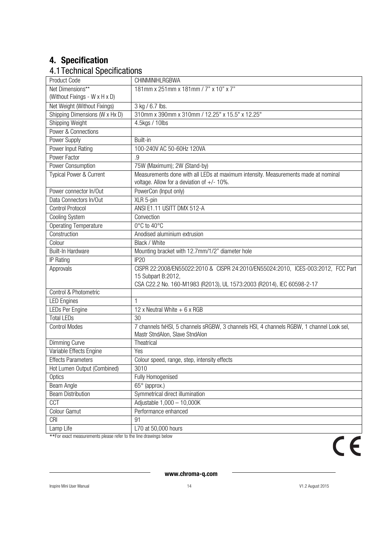# 4. Specification

### 4.1Technical Specifications

| Product Code                       | CHINMINIHLRGBWA                                                                          |  |  |  |
|------------------------------------|------------------------------------------------------------------------------------------|--|--|--|
| Net Dimensions**                   | 181mm x 251mm x 181mm / 7" x 10" x 7"                                                    |  |  |  |
| (Without Fixings - W x H x D)      |                                                                                          |  |  |  |
|                                    |                                                                                          |  |  |  |
| Net Weight (Without Fixings)       | 3 kg / 6.7 lbs.                                                                          |  |  |  |
| Shipping Dimensions (W x Hx D)     | 310mm x 390mm x 310mm / 12.25" x 15.5" x 12.25"                                          |  |  |  |
| Shipping Weight                    | 4.5kgs / 10lbs                                                                           |  |  |  |
| Power & Connections                |                                                                                          |  |  |  |
| Power Supply                       | Built-in                                                                                 |  |  |  |
| <b>Power Input Rating</b>          | 100-240V AC 50-60Hz 120VA                                                                |  |  |  |
| <b>Power Factor</b>                | .9                                                                                       |  |  |  |
| Power Consumption                  | 75W (Maximum); 2W (Stand-by)                                                             |  |  |  |
| <b>Typical Power &amp; Current</b> | Measurements done with all LEDs at maximum intensity. Measurements made at nominal       |  |  |  |
|                                    | voltage. Allow for a deviation of +/- 10%.                                               |  |  |  |
| Power connector In/Out             | PowerCon (Input only)                                                                    |  |  |  |
| Data Connectors In/Out             | XLR 5-pin                                                                                |  |  |  |
| <b>Control Protocol</b>            | ANSI E1.11 USITT DMX 512-A                                                               |  |  |  |
| Cooling System                     | Convection                                                                               |  |  |  |
| <b>Operating Temperature</b>       | 0°C to 40°C                                                                              |  |  |  |
| Construction                       | Anodised aluminium extrusion                                                             |  |  |  |
| Colour                             | Black / White                                                                            |  |  |  |
| <b>Built-In Hardware</b>           | Mounting bracket with 12.7mm/1/2" diameter hole                                          |  |  |  |
| <b>IP Rating</b>                   | <b>IP20</b>                                                                              |  |  |  |
| Approvals                          | CISPR 22:2008/EN55022:2010 & CISPR 24:2010/EN55024:2010, ICES-003:2012, FCC Part         |  |  |  |
|                                    | 15 Subpart B:2012,                                                                       |  |  |  |
|                                    | CSA C22.2 No. 160-M1983 (R2013), UL 1573:2003 (R2014), IEC 60598-2-17                    |  |  |  |
| Control & Photometric              |                                                                                          |  |  |  |
| <b>LED Engines</b>                 | 1                                                                                        |  |  |  |
| LEDs Per Engine                    | 12 x Neutral White $+6x$ RGB                                                             |  |  |  |
| <b>Total LEDs</b>                  | 30                                                                                       |  |  |  |
| <b>Control Modes</b>               | 7 channels fxHSI, 5 channels sRGBW, 3 channels HSI, 4 channels RGBW, 1 channel Look sel, |  |  |  |
|                                    | Mastr StndAlon, Slave StndAlon                                                           |  |  |  |
| Dimming Curve                      | Theatrical                                                                               |  |  |  |
| Variable Effects Engine            | Yes                                                                                      |  |  |  |
| <b>Effects Parameters</b>          | Colour speed, range, step, intensity effects                                             |  |  |  |
| Hot Lumen Output (Combined)        | 3010                                                                                     |  |  |  |
| Optics                             | Fully Homogenised                                                                        |  |  |  |
| Beam Angle                         | 65° (approx.)                                                                            |  |  |  |
| <b>Beam Distribution</b>           | Symmetrical direct illumination                                                          |  |  |  |
| CCT                                | Adjustable 1,000 - 10,000K                                                               |  |  |  |
| Colour Gamut                       | Performance enhanced                                                                     |  |  |  |
| <b>CRI</b>                         | 91                                                                                       |  |  |  |
| Lamp Life                          | L70 at 50,000 hours                                                                      |  |  |  |
|                                    |                                                                                          |  |  |  |

\*\*For exact measurements please refer to the line drawings below

 $\overline{\mathsf{CE}}$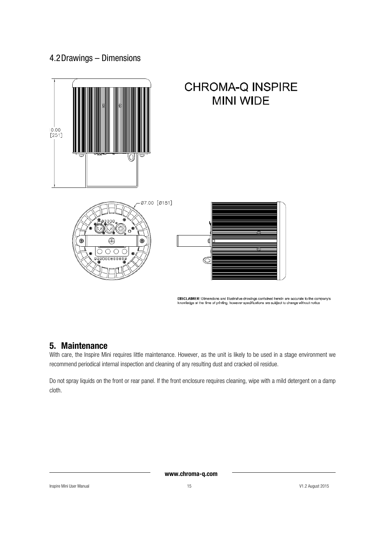# 4.2Drawings – Dimensions



# **CHROMA-Q INSPIRE MINI WIDE**



DISCLAIMER: Dimensions and lilustrative drawings contained herein are accurate to the company's<br>knowledge at the time of printing, however specifications are subject to change without notice

### 5. Maintenance

With care, the Inspire Mini requires little maintenance. However, as the unit is likely to be used in a stage environment we recommend periodical internal inspection and cleaning of any resulting dust and cracked oil residue.

Do not spray liquids on the front or rear panel. If the front enclosure requires cleaning, wipe with a mild detergent on a damp cloth.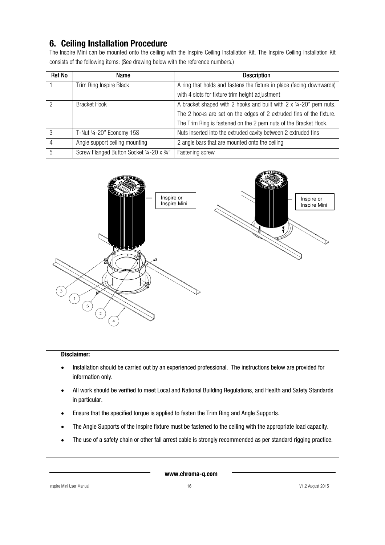# 6. Ceiling Installation Procedure

The Inspire Mini can be mounted onto the ceiling with the Inspire Ceiling Installation Kit. The Inspire Ceiling Installation Kit consists of the following items: (See drawing below with the reference numbers.)

| Ref No        | Name                                      | <b>Description</b>                                                           |
|---------------|-------------------------------------------|------------------------------------------------------------------------------|
|               | Trim Ring Inspire Black                   | A ring that holds and fastens the fixture in place (facing downwards)        |
|               |                                           | with 4 slots for fixture trim height adjustment                              |
| $\mathcal{D}$ | Bracket Hook                              | A bracket shaped with 2 hooks and built with $2 \times 1/4 - 20$ " pem nuts. |
|               |                                           | The 2 hooks are set on the edges of 2 extruded fins of the fixture.          |
|               |                                           | The Trim Ring is fastened on the 2 pem nuts of the Bracket Hook.             |
| 3             | T-Nut 1/4-20" Economy 15S                 | Nuts inserted into the extruded cavity between 2 extruded fins               |
| 4             | Angle support ceiling mounting            | 2 angle bars that are mounted onto the ceiling                               |
| 5             | Screw Flanged Button Socket 1/4-20 x 3/4" | Fastening screw                                                              |



#### Disclaimer:

- Installation should be carried out by an experienced professional. The instructions below are provided for information only.
- All work should be verified to meet Local and National Building Regulations, and Health and Safety Standards in particular.
- Ensure that the specified torque is applied to fasten the Trim Ring and Angle Supports.
- The Angle Supports of the Inspire fixture must be fastened to the ceiling with the appropriate load capacity.
- The use of a safety chain or other fall arrest cable is strongly recommended as per standard rigging practice.

www.chroma-q.com

Inspire Mini User Manual 16 V1.2 August 2015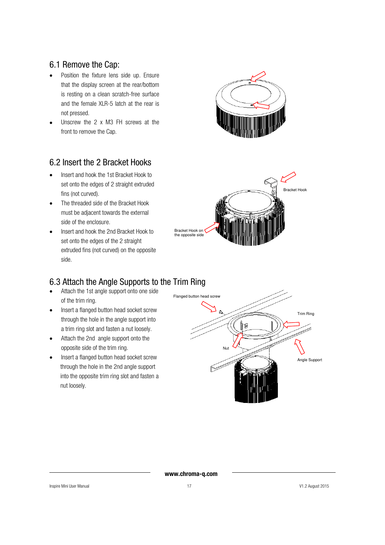# 6.1 Remove the Cap:

- Position the fixture lens side up. Ensure that the display screen at the rear/bottom is resting on a clean scratch-free surface and the female XLR-5 latch at the rear is not pressed.
- Unscrew the 2 x M3 FH screws at the front to remove the Cap.

# 6.2 Insert the 2 Bracket Hooks

- Insert and hook the 1st Bracket Hook to set onto the edges of 2 straight extruded fins (not curved).
- The threaded side of the Bracket Hook must be adjacent towards the external side of the enclosure.
- Insert and hook the 2nd Bracket Hook to set onto the edges of the 2 straight extruded fins (not curved) on the opposite side.





# 6.3 Attach the Angle Supports to the Trim Ring

- Attach the 1st angle support onto one side of the trim ring.
- Insert a flanged button head socket screw through the hole in the angle support into a trim ring slot and fasten a nut loosely.
- Attach the 2nd angle support onto the opposite side of the trim ring.
- Insert a flanged button head socket screw through the hole in the 2nd angle support into the opposite trim ring slot and fasten a nut loosely.

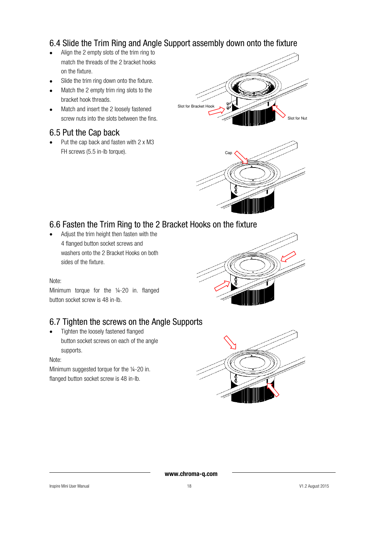# 6.4 Slide the Trim Ring and Angle Support assembly down onto the fixture

- Align the 2 empty slots of the trim ring to match the threads of the 2 bracket hooks on the fixture.
- Slide the trim ring down onto the fixture.
- Match the 2 empty trim ring slots to the bracket hook threads.
- Match and insert the 2 loosely fastened screw nuts into the slots between the fins.

# 6.5 Put the Cap back

• Put the cap back and fasten with 2 x M3 FH screws (5.5 in-lb torque).



# 6.6 Fasten the Trim Ring to the 2 Bracket Hooks on the fixture

• Adjust the trim height then fasten with the 4 flanged button socket screws and washers onto the 2 Bracket Hooks on both sides of the fixture.

Note:

Minimum torque for the ¼-20 in. flanged button socket screw is 48 in-lb.

# 6.7 Tighten the screws on the Angle Supports

• Tighten the loosely fastened flanged button socket screws on each of the angle supports.

Note:

Minimum suggested torque for the 1/4-20 in. flanged button socket screw is 48 in-lb.